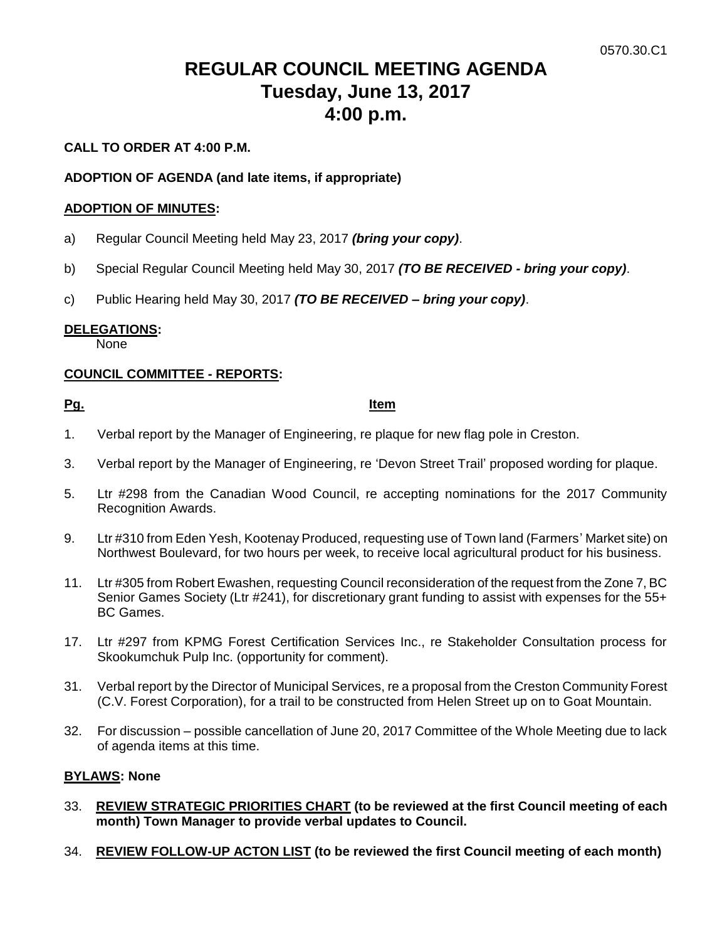# **REGULAR COUNCIL MEETING AGENDA Tuesday, June 13, 2017 4:00 p.m.**

# **CALL TO ORDER AT 4:00 P.M.**

# **ADOPTION OF AGENDA (and late items, if appropriate)**

### **ADOPTION OF MINUTES:**

- a) Regular Council Meeting held May 23, 2017 *(bring your copy)*.
- b) Special Regular Council Meeting held May 30, 2017 *(TO BE RECEIVED - bring your copy)*.
- c) Public Hearing held May 30, 2017 *(TO BE RECEIVED – bring your copy)*.

# **DELEGATIONS:**

None

# **COUNCIL COMMITTEE - REPORTS:**

# **Pg. Item**

- 1. Verbal report by the Manager of Engineering, re plaque for new flag pole in Creston.
- 3. Verbal report by the Manager of Engineering, re 'Devon Street Trail' proposed wording for plaque.
- 5. Ltr #298 from the Canadian Wood Council, re accepting nominations for the 2017 Community Recognition Awards.
- 9. Ltr #310 from Eden Yesh, Kootenay Produced, requesting use of Town land (Farmers' Market site) on Northwest Boulevard, for two hours per week, to receive local agricultural product for his business.
- 11. Ltr #305 from Robert Ewashen, requesting Council reconsideration of the request from the Zone 7, BC Senior Games Society (Ltr #241), for discretionary grant funding to assist with expenses for the 55+ BC Games.
- 17. Ltr #297 from KPMG Forest Certification Services Inc., re Stakeholder Consultation process for Skookumchuk Pulp Inc. (opportunity for comment).
- 31. Verbal report by the Director of Municipal Services, re a proposal from the Creston Community Forest (C.V. Forest Corporation), for a trail to be constructed from Helen Street up on to Goat Mountain.
- 32. For discussion possible cancellation of June 20, 2017 Committee of the Whole Meeting due to lack of agenda items at this time.

#### **BYLAWS: None**

- 33. **REVIEW STRATEGIC PRIORITIES CHART (to be reviewed at the first Council meeting of each month) Town Manager to provide verbal updates to Council.**
- 34. **REVIEW FOLLOW-UP ACTON LIST (to be reviewed the first Council meeting of each month)**